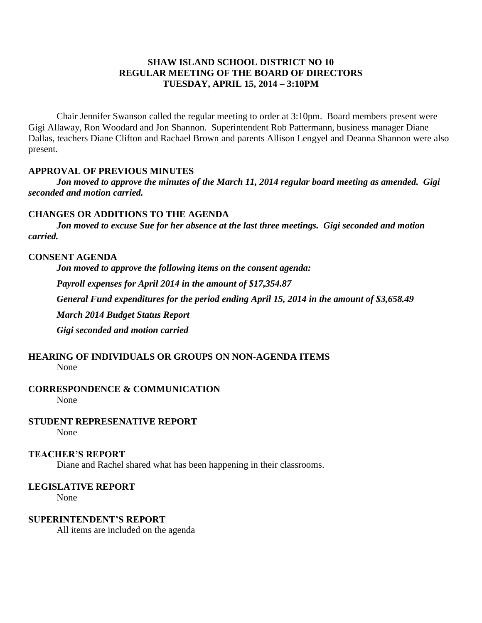# **SHAW ISLAND SCHOOL DISTRICT NO 10 REGULAR MEETING OF THE BOARD OF DIRECTORS TUESDAY, APRIL 15, 2014 – 3:10PM**

Chair Jennifer Swanson called the regular meeting to order at 3:10pm. Board members present were Gigi Allaway, Ron Woodard and Jon Shannon. Superintendent Rob Pattermann, business manager Diane Dallas, teachers Diane Clifton and Rachael Brown and parents Allison Lengyel and Deanna Shannon were also present.

## **APPROVAL OF PREVIOUS MINUTES**

*Jon moved to approve the minutes of the March 11, 2014 regular board meeting as amended. Gigi seconded and motion carried.*

### **CHANGES OR ADDITIONS TO THE AGENDA**

*Jon moved to excuse Sue for her absence at the last three meetings. Gigi seconded and motion carried.*

### **CONSENT AGENDA**

*Jon moved to approve the following items on the consent agenda:*

*Payroll expenses for April 2014 in the amount of \$17,354.87*

*General Fund expenditures for the period ending April 15, 2014 in the amount of \$3,658.49*

*March 2014 Budget Status Report*

*Gigi seconded and motion carried*

## **HEARING OF INDIVIDUALS OR GROUPS ON NON-AGENDA ITEMS** None

**CORRESPONDENCE & COMMUNICATION**

None

## **STUDENT REPRESENATIVE REPORT**

None

### **TEACHER'S REPORT**

Diane and Rachel shared what has been happening in their classrooms.

# **LEGISLATIVE REPORT**

None

# **SUPERINTENDENT'S REPORT**

All items are included on the agenda